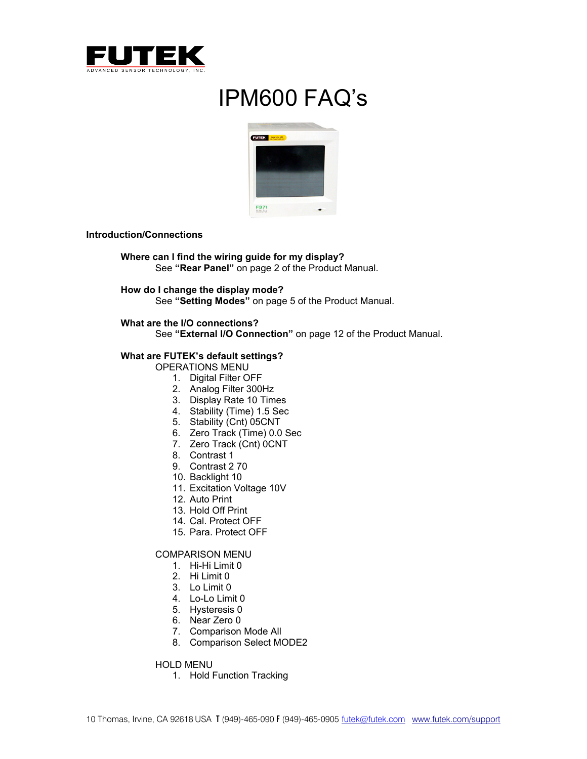

# IPM600 FAQ's



## **Introduction/Connections**

**Where can I find the wiring guide for my display?**  See **"Rear Panel"** on page 2 of the Product Manual.

**How do I change the display mode?**  See **"Setting Modes"** on page 5 of the Product Manual.

## **What are the I/O connections?**

See **"External I/O Connection"** on page 12 of the Product Manual.

## **What are FUTEK's default settings?**

OPERATIONS MENU

- 1. Digital Filter OFF
- 2. Analog Filter 300Hz
- 3. Display Rate 10 Times
- 4. Stability (Time) 1.5 Sec
- 5. Stability (Cnt) 05CNT
- 6. Zero Track (Time) 0.0 Sec
- 7. Zero Track (Cnt) OCNT
- 8. Contrast 1
- 9. Contrast 2 70
- 10. Backlight 10
- 11. Excitation Voltage 10V
- 12. Auto Print
- 13. Hold Off Print
- 14. Cal. Protect OFF
- 15. Para. Protect OFF

# COMPARISON MENU

- 1. Hi-Hi Limit 0
- 2. Hi Limit 0
- 3. Lo Limit 0
- 4. Lo-Lo Limit 0
- 5. Hysteresis 0
- 6. Near Zero 0
- 7. Comparison Mode All
- 8. Comparison Select MODE2

HOLD MENU

1. Hold Function Tracking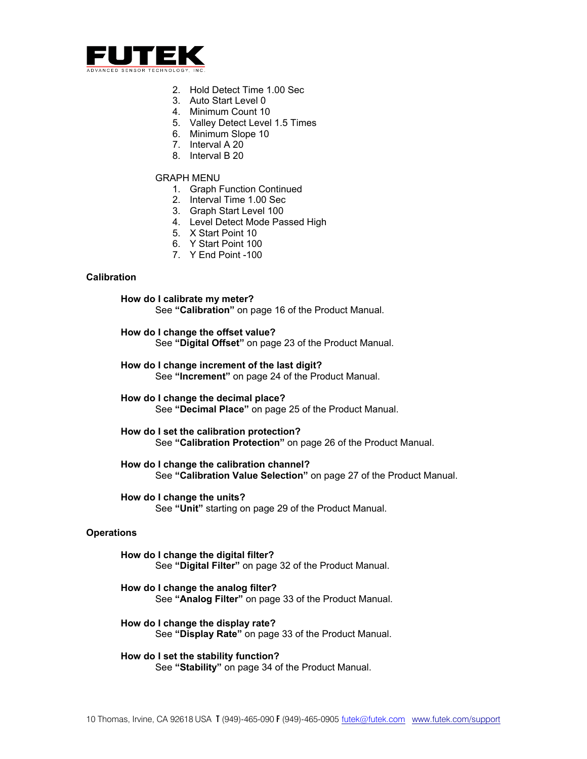

- 2. Hold Detect Time 1.00 Sec
- 3. Auto Start Level 0
- 4. Minimum Count 10
- 5. Valley Detect Level 1.5 Times
- 6. Minimum Slope 10
- 7. Interval A 20
- 8. Interval B 20

## GRAPH MENU

- 1. Graph Function Continued
- 2. Interval Time 1.00 Sec
- 3. Graph Start Level 100
- 4. Level Detect Mode Passed High
- 5. X Start Point 10
- 6. Y Start Point 100
- 7. Y End Point -100

# **Calibration**

**How do I calibrate my meter?**  See **"Calibration"** on page 16 of the Product Manual.

**How do I change the offset value?**  See **"Digital Offset"** on page 23 of the Product Manual.

**How do I change increment of the last digit?**  See **"Increment"** on page 24 of the Product Manual.

**How do I change the decimal place?**  See **"Decimal Place"** on page 25 of the Product Manual.

**How do I set the calibration protection?**  See **"Calibration Protection"** on page 26 of the Product Manual.

**How do I change the calibration channel?**  See **"Calibration Value Selection"** on page 27 of the Product Manual.

**How do I change the units?**  See **"Unit"** starting on page 29 of the Product Manual.

# **Operations**

**How do I change the digital filter?**  See **"Digital Filter"** on page 32 of the Product Manual.

- **How do I change the analog filter?**  See **"Analog Filter"** on page 33 of the Product Manual.
- **How do I change the display rate?**  See **"Display Rate"** on page 33 of the Product Manual.

**How do I set the stability function?**  See **"Stability"** on page 34 of the Product Manual.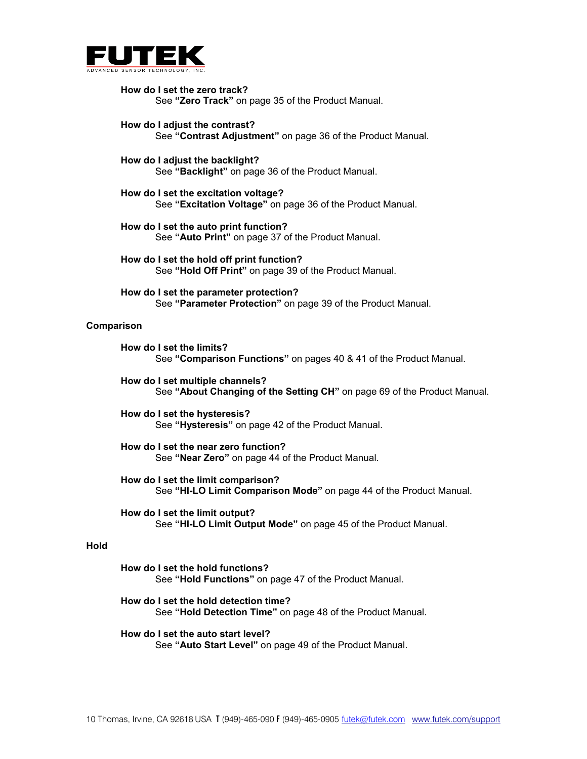

**How do I set the zero track?**  See **"Zero Track"** on page 35 of the Product Manual.

**How do I adjust the contrast?**  See **"Contrast Adjustment"** on page 36 of the Product Manual.

**How do I adjust the backlight?**  See **"Backlight"** on page 36 of the Product Manual.

**How do I set the excitation voltage?**  See **"Excitation Voltage"** on page 36 of the Product Manual.

**How do I set the auto print function?**  See **"Auto Print"** on page 37 of the Product Manual.

**How do I set the hold off print function?**  See **"Hold Off Print"** on page 39 of the Product Manual.

**How do I set the parameter protection?**  See **"Parameter Protection"** on page 39 of the Product Manual.

#### **Comparison**

**How do I set the limits?**  See **"Comparison Functions"** on pages 40 & 41 of the Product Manual.

**How do I set multiple channels?**  See **"About Changing of the Setting CH"** on page 69 of the Product Manual.

**How do I set the hysteresis?**  See **"Hysteresis"** on page 42 of the Product Manual.

**How do I set the near zero function?**  See **"Near Zero"** on page 44 of the Product Manual.

**How do I set the limit comparison?**  See **"HI-LO Limit Comparison Mode"** on page 44 of the Product Manual.

**How do I set the limit output?**  See **"HI-LO Limit Output Mode"** on page 45 of the Product Manual.

## **Hold**

**How do I set the hold functions?**  See **"Hold Functions"** on page 47 of the Product Manual.

**How do I set the hold detection time?**  See **"Hold Detection Time"** on page 48 of the Product Manual.

**How do I set the auto start level?**  See **"Auto Start Level"** on page 49 of the Product Manual.